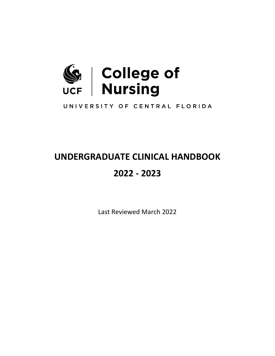

UNIVERSITY OF CENTRAL FLORIDA

# **UNDERGRADUATE CLINICAL HANDBOOK 2022 - 2023**

Last Reviewed March 2022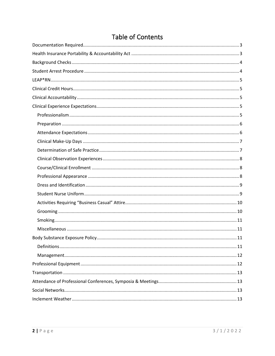## Table of Contents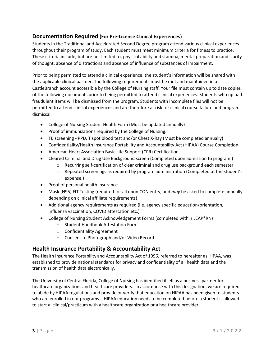## <span id="page-2-0"></span>**Documentation Required (For Pre-License Clinical Experiences)**

Students in the Traditional and Accelerated Second Degree program attend various clinical experiences throughout their program of study. Each student must meet minimum criteria for fitness to practice. These criteria include, but are not limited to, physical ability and stamina, mental preparation and clarity of thought, absence of distractions and absence of influence of substances of impairment.

Prior to being permitted to attend a clinical experience, the student's information will be shared with the applicable clinical partner. The following requirements must be met and maintained in a CastleBranch account accessible by the College of Nursing staff. Your file must contain up to date copies of the following documents prior to being permitted to attend clinical experiences. Students who upload fraudulent items will be dismissed from the program. Students with incomplete files will not be permitted to attend clinical experiences and are therefore at risk for clinical course failure and program dismissal.

- College of Nursing Student Health Form (Must be updated annually)
- Proof of immunizations required by the College of Nursing.
- TB screening PPD, T spot blood test and/or Chest X-Ray (Must be completed annually)
- Confidentiality/Health Insurance Portability and Accountability Act (HIPAA) Course Completion
- American Heart Association Basic Life Support (CPR) Certification
- Cleared Criminal and Drug Use Background screen (Completed upon admission to program.)
	- o Recurring self-certification of clear criminal and drug use background each semester
	- $\circ$  Repeated screenings as required by program administration (Completed at the student's expense.)
- Proof of personal health insurance
- Mask (N95) FIT Testing (required for all upon CON entry, and *may* be asked to complete annually depending on clinical affiliate requirements)
- Additional agency requirements as required (i.e. agency specific education/orientation, Influenza vaccination, COVID attestation etc.)
- College of Nursing Student Acknowledgement Forms (completed within LEAP\*RN)
	- o Student Handbook Attestation Form
	- o Confidentiality Agreement
	- o Consent to Photograph and/or Video Record

## <span id="page-2-1"></span>**Health Insurance Portability & Accountability Act**

The Health Insurance Portability and Accountability Act of 1996, referred to hereafter as HIPAA, was established to provide national standards for privacy and confidentiality of all health data and the transmission of health data electronically.

The University of Central Florida, College of Nursing has identified itself as a business partner for healthcare organizations and healthcare providers. In accordance with this designation, we are required to abide by HIPAA regulations and provide or verify that education on HIPAA has been given to students who are enrolled in our programs. HIPAA education needs to be completed before a student is allowed to start a clinical/practicum with a healthcare organization or a healthcare provider.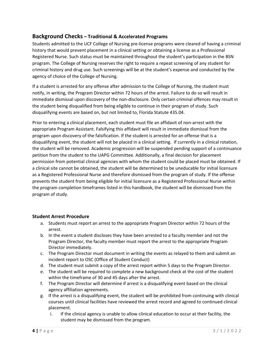## <span id="page-3-0"></span>**Background Checks – Traditional & Accelerated Programs**

Students admitted to the UCF College of Nursing pre-license programs were cleared of having a criminal history that would prevent placement in a clinical setting or obtaining a license as a Professional Registered Nurse. Such status must be maintained throughout the student's participation in the BSN program. The College of Nursing reserves the right to require a repeat screening of any student for criminal history and drug use. Such screenings will be at the student's expense and conducted by the agency of choice of the College of Nursing.

If a student is arrested for any offense after admission to the College of Nursing, the student must notify, in writing, the Program Director within 72 hours of the arrest. Failure to do so will result in immediate dismissal upon discovery of the non-disclosure. Only certain criminal offences may result in the student being disqualified from being eligible to continue in their program of study. Such disqualifying events are based on, but not limited to, Florida Statute 435.04.

Prior to entering a clinical placement, each student must file an affidavit of non-arrest with the appropriate Program Assistant. Falsifying this affidavit will result in immediate dismissal from the program upon discovery of the falsification. If the student is arrested for an offense that is a disqualifying event, the student will not be placed in a clinical setting. If currently in a clinical rotation, the student will be removed. Academic progression will be suspended pending support of a continuance petition from the student to the UAPG Committee. Additionally, a final decision for placement permission from potential clinical agencies with whom the student could be placed must be obtained. If a clinical site cannot be obtained, the student will be determined to be uneducable for initial licensure as a Registered Professional Nurse and therefore dismissed from the program of study. If the offense prevents the student from being eligible for initial licensure as a Registered Professional Nurse within the program completion timeframes listed in this handbook, the student will be dismissed from the program of study.

#### <span id="page-3-1"></span>**Student Arrest Procedure**

- a. Students must report an arrest to the appropriate Program Director within 72 hours of the arrest.
- b. In the event a student discloses they have been arrested to a faculty member and not the Program Director, the faculty member must report the arrest to the appropriate Program Director immediately.
- c. The Program Director must document in writing the events as relayed to them and submit an incident report to OSC (Office of Student Conduct)
- d. The student must submit a copy of the arrest report within 5 days to the Program Director.
- e. The student will be required to complete a new background check at the cost of the student within the timeframe of 30 and 45 days after the arrest.
- f. The Program Director will determine if arrest is a disqualifying event based on the clinical agency affiliation agreements.
- g. If the arrest is a disqualifying event, the student will be prohibited from continuing with clinical courses until clinical facilities have reviewed the arrest record and agreed to continued clinical placement.
	- i. If the clinical agency is unable to allow clinical education to occur at their facility, the student may be dismissed from the program.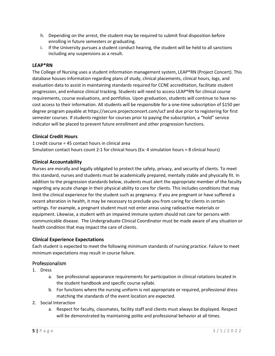- h. Depending on the arrest, the student may be required to submit final disposition before enrolling in future semesters or graduating.
- i. If the University pursues a student conduct hearing, the student will be held to all sanctions including any suspensions as a result.

#### <span id="page-4-0"></span>**LEAP\*RN**

The College of Nursing uses a student information management system, LEAP\*RN (Project Concert). This database houses information regarding plans of study, clinical placements, clinical hours, logs, and evaluation data to assist in maintaining standards required for CCNE accreditation, facilitate student progression, and enhance clinical tracking. Students will need to access LEAP\*RN for clinical course requirements, course evaluations, and portfolios. Upon graduation, students will continue to have nocost access to their information. All students will be responsible for a one-time subscription of \$150 per degree program payable at https://secure.projectconcert.com/ucf and due prior to registering for first semester courses. If students register for courses prior to paying the subscription, a "hold" service indicator will be placed to prevent future enrollment and other progression functions.

#### <span id="page-4-1"></span>**Clinical Credit Hours**

1 credit course = 45 contact hours in clinical area Simulation contact hours count 2:1 for clinical hours (Ex: 4 simulation hours = 8 clinical hours)

#### <span id="page-4-2"></span>**Clinical Accountability**

Nurses are morally and legally obligated to protect the safety, privacy, and security of clients. To meet this standard, nurses and students must be academically prepared, mentally stable and physically fit. In addition to the progression standards below, students must alert the appropriate member of the faculty regarding any acute change in their physical ability to care for clients. This includes conditions that may limit the clinical experience for the student such as pregnancy. If you are pregnant or have suffered a recent alteration in health, it may be necessary to preclude you from caring for clients in certain settings. For example, a pregnant student must not enter areas using radioactive materials or equipment. Likewise, a student with an impaired immune system should not care for persons with communicable disease. The Undergraduate Clinical Coordinator must be made aware of any situation or health condition that may impact the care of clients.

#### <span id="page-4-3"></span>**Clinical Experience Expectations**

Each student is expected to meet the following minimum standards of nursing practice. Failure to meet minimum expectations may result in course failure.

#### <span id="page-4-4"></span>Professionalism

- 1. Dress
	- a. See professional appearance requirements for participation in clinical rotations located in the student handbook and specific course syllabi.
	- b. For functions where the nursing uniform is not appropriate or required, professional dress matching the standards of the event location are expected.
- 2. Social Interaction
	- a. Respect for faculty, classmates, facility staff and clients must always be displayed. Respect will be demonstrated by maintaining polite and professional behavior at all times.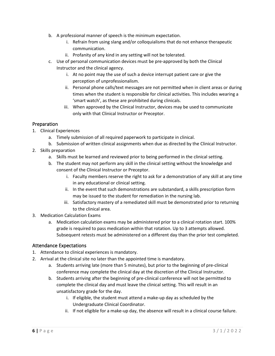- b. A professional manner of speech is the minimum expectation.
	- i. Refrain from using slang and/or colloquialisms that do not enhance therapeutic communication.
	- ii. Profanity of any kind in any setting will not be tolerated.
- c. Use of personal communication devices must be pre-approved by both the Clinical Instructor and the clinical agency.
	- i. At no point may the use of such a device interrupt patient care or give the perception of unprofessionalism.
	- ii. Personal phone calls/text messages are not permitted when in client areas or during times when the student is responsible for clinical activities. This includes wearing a 'smart watch', as these are prohibited during clinicals.
	- iii. When approved by the Clinical Instructor, devices may be used to communicate only with that Clinical Instructor or Preceptor.

#### <span id="page-5-0"></span>Preparation

- 1. Clinical Experiences
	- a. Timely submission of all required paperwork to participate in clinical.
	- b. Submission of written clinical assignments when due as directed by the Clinical Instructor.
- 2. Skills preparation
	- a. Skills must be learned and reviewed prior to being performed in the clinical setting.
	- b. The student may not perform any skill in the clinical setting without the knowledge and consent of the Clinical Instructor or Preceptor.
		- i. Faculty members reserve the right to ask for a demonstration of any skill at any time in any educational or clinical setting.
		- ii. In the event that such demonstrations are substandard, a skills prescription form may be issued to the student for remediation in the nursing lab.
		- iii. Satisfactory mastery of a remediated skill must be demonstrated prior to returning to the clinical area.
- 3. Medication Calculation Exams
	- a. Medication calculation exams may be administered prior to a clinical rotation start. 100% grade is required to pass medication within that rotation. Up to 3 attempts allowed. Subsequent retests must be administered on a different day than the prior test completed.

#### <span id="page-5-1"></span>Attendance Expectations

- 1. Attendance to clinical experiences is mandatory.
- 2. Arrival at the clinical site no later than the appointed time is mandatory.
	- a. Students arriving late (more than 5 minutes), but prior to the beginning of pre-clinical conference may complete the clinical day at the discretion of the Clinical Instructor.
	- b. Students arriving after the beginning of pre-clinical conference will not be permitted to complete the clinical day and must leave the clinical setting. This will result in an unsatisfactory grade for the day.
		- i. If eligible, the student must attend a make-up day as scheduled by the Undergraduate Clinical Coordinator.
		- ii. If not eligible for a make-up day, the absence will result in a clinical course failure.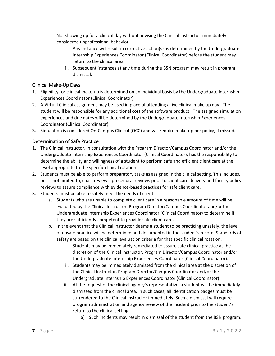- c. Not showing up for a clinical day without advising the Clinical Instructor immediately is considered unprofessional behavior.
	- i. Any instance will result in corrective action(s) as determined by the Undergraduate Internship Experiences Coordinator (Clinical Coordinator) before the student may return to the clinical area.
	- ii. Subsequent instances at any time during the BSN program may result in program dismissal.

## <span id="page-6-0"></span>Clinical Make-Up Days

- 1. Eligibility for clinical make-up is determined on an individual basis by the Undergraduate Internship Experiences Coordinator (Clinical Coordinator).
- 2. A Virtual Clinical assignment may be used in place of attending a live clinical make up day. The student will be responsible for any additional cost of the software product. The assigned simulation experiences and due dates will be determined by the Undergraduate Internship Experiences Coordinator (Clinical Coordinator).
- 3. Simulation is considered On-Campus Clinical (OCC) and will require make-up per policy, if missed.

#### <span id="page-6-1"></span>Determination of Safe Practice

- 1. The Clinical Instructor, in consultation with the Program Director/Campus Coordinator and/or the Undergraduate Internship Experiences Coordinator (Clinical Coordinator), has the responsibility to determine the ability and willingness of a student to perform safe and efficient client care at the level appropriate to the specific clinical rotation.
- 2. Students must be able to perform preparatory tasks as assigned in the clinical setting. This includes, but is not limited to, chart reviews, procedural reviews prior to client care delivery and facility policy reviews to assure compliance with evidence-based practices for safe client care.
- 3. Students must be able to safely meet the needs of clients.
	- a. Students who are unable to complete client care in a reasonable amount of time will be evaluated by the Clinical Instructor, Program Director/Campus Coordinator and/or the Undergraduate Internship Experiences Coordinator (Clinical Coordinator) to determine if they are sufficiently competent to provide safe client care.
	- b. In the event that the Clinical Instructor deems a student to be practicing unsafely, the level of unsafe practice will be determined and documented in the student's record. Standards of safety are based on the clinical evaluation criteria for that specific clinical rotation.
		- i. Students may be immediately remediated to assure safe clinical practice at the discretion of the Clinical Instructor, Program Director/Campus Coordinator and/or the Undergraduate Internship Experiences Coordinator (Clinical Coordinator).
		- ii. Students may be immediately dismissed from the clinical area at the discretion of the Clinical Instructor, Program Director/Campus Coordinator and/or the Undergraduate Internship Experiences Coordinator (Clinical Coordinator).
		- iii. At the request of the clinical agency's representative, a student will be immediately dismissed from the clinical area. In such cases, all identification badges must be surrendered to the Clinical Instructor immediately. Such a dismissal will require program administration and agency review of the incident prior to the student's return to the clinical setting.
			- a) Such incidents may result in dismissal of the student from the BSN program.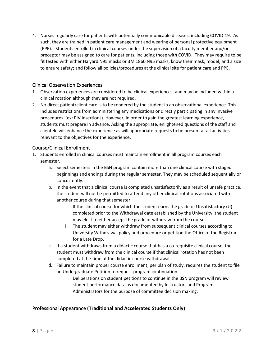4. Nurses regularly care for patients with potentially communicable diseases, including COVID-19. As such, they are trained in patient care management and wearing of personal protective equipment (PPE). Students enrolled in clinical courses under the supervision of a faculty member and/or preceptor may be assigned to care for patients, including those with COVID. They may require to be fit tested with either Halyard N95 masks or 3M 1860 N95 masks; know their mask, model, and a size to ensure safety; and follow all policies/procedures at the clinical site for patient care and PPE.

#### <span id="page-7-0"></span>Clinical Observation Experiences

- 1. Observation experiences are considered to be clinical experiences, and may be included within a clinical rotation although they are not required.
- 2. No direct patient/client care is to be rendered by the student in an observational experience. This includes restrictions from administering any medications or directly participating in any invasive procedures (ex: PIV insertions). However, in order to gain the greatest learning experience, students must prepare in advance. Asking the appropriate, enlightened questions of the staff and clientele will enhance the experience as will appropriate requests to be present at all activities relevant to the objectives for the experience.

#### <span id="page-7-1"></span>Course/Clinical Enrollment

- 1. Students enrolled in clinical courses must maintain enrollment in all program courses each semester.
	- a. Select semesters in the BSN program contain more than one clinical course with staged beginnings and endings during the regular semester. They may be scheduled sequentially or concurrently.
	- b. In the event that a clinical course is completed unsatisfactorily as a result of unsafe practice, the student will not be permitted to attend any other clinical rotations associated with another course during that semester.
		- i. If the clinical course for which the student earns the grade of Unsatisfactory (U) is completed prior to the Withdrawal date established by the University, the student may elect to either accept the grade or withdraw from the course.
		- ii. The student may either withdraw from subsequent clinical courses according to University Withdrawal policy and procedure or petition the Office of the Registrar for a Late Drop.
	- c. If a student withdraws from a didactic course that has a co-requisite clinical course, the student must withdraw from the clinical course if that clinical rotation has not been completed at the time of the didactic course withdrawal.
	- d. Failure to maintain proper course enrollment, per plan of study, requires the student to file an Undergraduate Petition to request program continuation.
		- i. Deliberations on student petitions to continue in the BSN program will review student performance data as documented by Instructors and Program Administrators for the purpose of committee decision making.

#### <span id="page-7-2"></span>Professional Appearance **(Traditional and Accelerated Students Only)**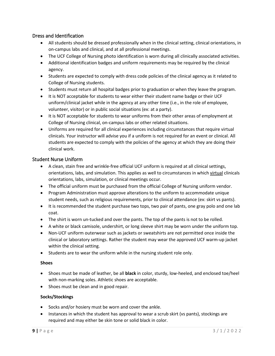#### <span id="page-8-0"></span>Dress and Identification

- All students should be dressed professionally when in the clinical setting, clinical orientations, in on-campus labs and clinical, and at all professional meetings.
- The UCF College of Nursing photo identification is worn during all clinically associated activities.
- Additional identification badges and uniform requirements may be required by the clinical agency.
- Students are expected to comply with dress code policies of the clinical agency as it related to College of Nursing students.
- Students must return all hospital badges prior to graduation or when they leave the program.
- It is NOT acceptable for students to wear either their student name badge or their UCF uniform/clinical jacket while in the agency at any other time (i.e., in the role of employee, volunteer, visitor) or in public social situations (ex: at a party).
- It is NOT acceptable for students to wear uniforms from their other areas of employment at College of Nursing clinical, on-campus labs or other related situations.
- Uniforms are required for all clinical experiences including circumstances that require virtual clinicals. Your instructor will advise you if a uniform is not required for an event or clinical. All students are expected to comply with the policies of the agency at which they are doing their clinical work.

#### <span id="page-8-1"></span>Student Nurse Uniform

- A clean, stain free and wrinkle-free official UCF uniform is required at all clinical settings, orientations, labs, and simulation. This applies as well to circumstances in which virtual clinicals orientations, labs, simulation, or clinical meetings occur.
- The official uniform must be purchased from the official College of Nursing uniform vendor.
- Program Administration must approve alterations to the uniform to accommodate unique student needs, such as religious requirements, prior to clinical attendance (ex: skirt vs pants).
- It is recommended the student purchase two tops, two pair of pants, one gray polo and one lab coat.
- The shirt is worn un-tucked and over the pants. The top of the pants is not to be rolled.
- A white or black camisole, undershirt, or long sleeve shirt may be worn under the uniform top.
- Non-UCF uniform outerwear such as jackets or sweatshirts are not permitted once inside the clinical or laboratory settings. Rather the student may wear the approved UCF warm-up jacket within the clinical setting.
- Students are to wear the uniform while in the nursing student role only.

#### **Shoes**

- Shoes must be made of leather, be all **black** in color, sturdy, low-heeled, and enclosed toe/heel with non-marking soles. Athletic shoes are acceptable.
- Shoes must be clean and in good repair.

#### **Socks/Stockings**

- Socks and/or hosiery must be worn and cover the ankle.
- Instances in which the student has approval to wear a scrub skirt (vs pants), stockings are required and may either be skin tone or solid black in color.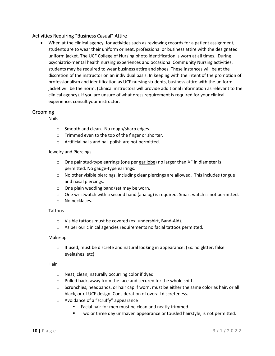#### <span id="page-9-0"></span>Activities Requiring "Business Casual" Attire

• When at the clinical agency, for activities such as reviewing records for a patient assignment, students are to wear their uniform or neat, professional or business attire with the designated uniform jacket. The UCF College of Nursing photo identification is worn at all times. During psychiatric-mental health nursing experiences and occasional Community Nursing activities, students may be required to wear business attire and shoes. These instances will be at the discretion of the instructor on an individual basis. In keeping with the intent of the promotion of professionalism and identification as UCF nursing students, business attire with the uniform jacket will be the norm. (Clinical instructors will provide additional information as relevant to the clinical agency). If you are unsure of what dress requirement is required for your clinical experience, consult your instructor.

#### <span id="page-9-1"></span>Grooming

Nails

- o Smooth and clean. No rough/sharp edges.
- o Trimmed even to the top of the finger or shorter.
- o Artificial nails and nail polish are not permitted.

#### Jewelry and Piercings

- o One pair stud-type earrings (one per ear lobe) no larger than ¼" in diameter is permitted. No gauge-type earrings.
- $\circ$  No other visible piercings, including clear piercings are allowed. This includes tongue and nasal piercings.
- o One plain wedding band/set may be worn.
- $\circ$  One wristwatch with a second hand (analog) is required. Smart watch is not permitted.
- o No necklaces.

#### Tattoos

- o Visible tattoos must be covered (ex: undershirt, Band-Aid).
- o As per our clinical agencies requirements no facial tattoos permitted.

#### Make-up

 $\circ$  If used, must be discrete and natural looking in appearance. (Ex: no glitter, false eyelashes, etc)

#### **Hair**

- o Neat, clean, naturally occurring color if dyed.
- o Pulled back, away from the face and secured for the whole shift.
- $\circ$  Scrunchies, headbands, or hair cap if worn, must be either the same color as hair, or all black, or of UCF design. Consideration of overall discreteness.
- o Avoidance of a "scruffy" appearance
	- Facial hair for men must be clean and neatly trimmed.
	- Two or three day unshaven appearance or tousled hairstyle, is not permitted.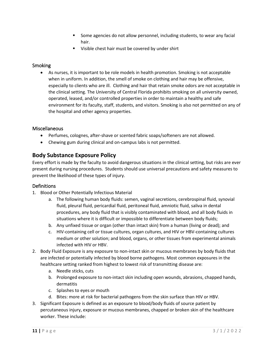- Some agencies do not allow personnel, including students, to wear any facial hair.
- Visible chest hair must be covered by under shirt

#### <span id="page-10-0"></span>**Smoking**

• As nurses, it is important to be role models in health promotion. Smoking is not acceptable when in uniform. In addition, the smell of smoke on clothing and hair may be offensive, especially to clients who are ill. Clothing and hair that retain smoke odors are not acceptable in the clinical setting. The University of Central Florida prohibits smoking on all university owned, operated, leased, and/or controlled properties in order to maintain a healthy and safe environment for its faculty, staff, students, and visitors. Smoking is also not permitted on any of the hospital and other agency properties.

#### <span id="page-10-1"></span>Miscellaneous

- Perfumes, colognes, after-shave or scented fabric soaps/softeners are not allowed.
- Chewing gum during clinical and on-campus labs is not permitted.

### <span id="page-10-2"></span>**Body Substance Exposure Policy**

Every effort is made by the faculty to avoid dangerous situations in the clinical setting, but risks are ever present during nursing procedures. Students should use universal precautions and safety measures to prevent the likelihood of these types of injury.

#### <span id="page-10-3"></span>**Definitions**

- 1. Blood or Other Potentially Infectious Material
	- a. The following human body fluids: semen, vaginal secretions, cerebrospinal fluid, synovial fluid, pleural fluid, pericardial fluid, peritoneal fluid, amniotic fluid, saliva in dental procedures, any body fluid that is visibly contaminated with blood, and all body fluids in situations where it is difficult or impossible to differentiate between body fluids;
	- b. Any unfixed tissue or organ (other than intact skin) from a human (living or dead); and
	- c. HIV-containing cell or tissue cultures, organ cultures, and HIV or HBV-containing cultures medium or other solution; and blood, organs, or other tissues from experimental animals infected with HIV or HBV.
- 2. Body Fluid Exposure is any exposure to non-intact skin or mucous membranes by body fluids that are infected or potentially infected by blood borne pathogens. Most common exposures in the healthcare setting ranked from highest to lowest risk of transmitting disease are:
	- a. Needle sticks, cuts
	- b. Prolonged exposure to non-intact skin including open wounds, abrasions, chapped hands, dermatitis
	- c. Splashes to eyes or mouth
	- d. Bites: more at risk for bacterial pathogens from the skin surface than HIV or HBV.
- 3. Significant Exposure is defined as an exposure to blood/body fluids of source patient by percutaneous injury, exposure or mucous membranes, chapped or broken skin of the healthcare worker. These include: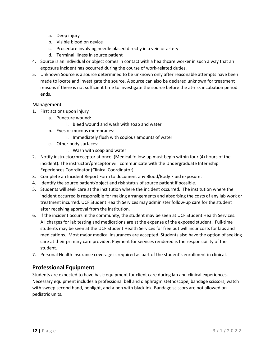- a. Deep injury
- b. Visible blood on device
- c. Procedure involving needle placed directly in a vein or artery
- d. Terminal illness in source patient
- 4. Source is an individual or object comes in contact with a healthcare worker in such a way that an exposure incident has occurred during the course of work-related duties.
- 5. Unknown Source is a source determined to be unknown only after reasonable attempts have been made to locate and investigate the source. A source can also be declared unknown for treatment reasons if there is not sufficient time to investigate the source before the at-risk incubation period ends.

#### <span id="page-11-0"></span>Management

- 1. First actions upon injury
	- a. Puncture wound:
		- i. Bleed wound and wash with soap and water
	- b. Eyes or mucous membranes:
		- i. Immediately flush with copious amounts of water
	- c. Other body surfaces:
		- i. Wash with soap and water
- 2. Notify instructor/preceptor at once. (Medical follow-up must begin within four (4) hours of the incident). The instructor/preceptor will communicate with the Undergraduate Internship Experiences Coordinator (Clinical Coordinator).
- 3. Complete an Incident Report Form to document any Blood/Body Fluid exposure.
- 4. Identify the source patient/object and risk status of source patient if possible.
- 5. Students will seek care at the institution where the incident occurred. The institution where the incident occurred is responsible for making arrangements and absorbing the costs of any lab work or treatment incurred. UCF Student Health Services may administer follow-up care for the student after receiving approval from the institution.
- 6. If the incident occurs in the community, the student may be seen at UCF Student Health Services. All charges for lab testing and medications are at the expense of the exposed student. Full-time students may be seen at the UCF Student Health Services for free but will incur costs for labs and medications. Most major medical insurances are accepted. Students also have the option of seeking care at their primary care provider. Payment for services rendered is the responsibility of the student.
- 7. Personal Health Insurance coverage is required as part of the student's enrollment in clinical.

## <span id="page-11-1"></span>**Professional Equipment**

Students are expected to have basic equipment for client care during lab and clinical experiences. Necessary equipment includes a professional bell and diaphragm stethoscope, bandage scissors, watch with sweep second hand, penlight, and a pen with black ink. Bandage scissors are not allowed on pediatric units.